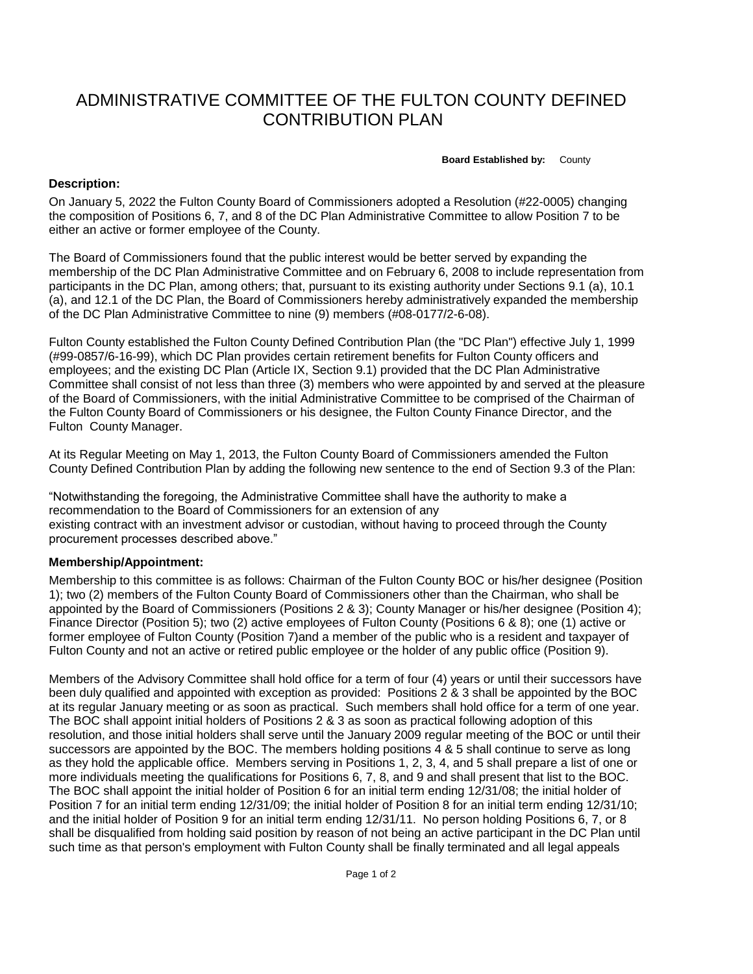## ADMINISTRATIVE COMMITTEE OF THE FULTON COUNTY DEFINED CONTRIBUTION PLAN

**Board Established by:** County

## **Description:**

On January 5, 2022 the Fulton County Board of Commissioners adopted a Resolution (#22-0005) changing the composition of Positions 6, 7, and 8 of the DC Plan Administrative Committee to allow Position 7 to be either an active or former employee of the County.

The Board of Commissioners found that the public interest would be better served by expanding the membership of the DC Plan Administrative Committee and on February 6, 2008 to include representation from participants in the DC Plan, among others; that, pursuant to its existing authority under Sections 9.1 (a), 10.1 (a), and 12.1 of the DC Plan, the Board of Commissioners hereby administratively expanded the membership of the DC Plan Administrative Committee to nine (9) members (#08-0177/2-6-08).

Fulton County established the Fulton County Defined Contribution Plan (the "DC Plan") effective July 1, 1999 (#99-0857/6-16-99), which DC Plan provides certain retirement benefits for Fulton County officers and employees; and the existing DC Plan (Article IX, Section 9.1) provided that the DC Plan Administrative Committee shall consist of not less than three (3) members who were appointed by and served at the pleasure of the Board of Commissioners, with the initial Administrative Committee to be comprised of the Chairman of the Fulton County Board of Commissioners or his designee, the Fulton County Finance Director, and the Fulton County Manager.

At its Regular Meeting on May 1, 2013, the Fulton County Board of Commissioners amended the Fulton County Defined Contribution Plan by adding the following new sentence to the end of Section 9.3 of the Plan:

"Notwithstanding the foregoing, the Administrative Committee shall have the authority to make a recommendation to the Board of Commissioners for an extension of any existing contract with an investment advisor or custodian, without having to proceed through the County procurement processes described above."

## **Membership/Appointment:**

Membership to this committee is as follows: Chairman of the Fulton County BOC or his/her designee (Position 1); two (2) members of the Fulton County Board of Commissioners other than the Chairman, who shall be appointed by the Board of Commissioners (Positions 2 & 3); County Manager or his/her designee (Position 4); Finance Director (Position 5); two (2) active employees of Fulton County (Positions 6 & 8); one (1) active or former employee of Fulton County (Position 7)and a member of the public who is a resident and taxpayer of Fulton County and not an active or retired public employee or the holder of any public office (Position 9).

Members of the Advisory Committee shall hold office for a term of four (4) years or until their successors have been duly qualified and appointed with exception as provided: Positions 2 & 3 shall be appointed by the BOC at its regular January meeting or as soon as practical. Such members shall hold office for a term of one year. The BOC shall appoint initial holders of Positions 2 & 3 as soon as practical following adoption of this resolution, and those initial holders shall serve until the January 2009 regular meeting of the BOC or until their successors are appointed by the BOC. The members holding positions 4 & 5 shall continue to serve as long as they hold the applicable office. Members serving in Positions 1, 2, 3, 4, and 5 shall prepare a list of one or more individuals meeting the qualifications for Positions 6, 7, 8, and 9 and shall present that list to the BOC. The BOC shall appoint the initial holder of Position 6 for an initial term ending 12/31/08; the initial holder of Position 7 for an initial term ending 12/31/09; the initial holder of Position 8 for an initial term ending 12/31/10; and the initial holder of Position 9 for an initial term ending 12/31/11. No person holding Positions 6, 7, or 8 shall be disqualified from holding said position by reason of not being an active participant in the DC Plan until such time as that person's employment with Fulton County shall be finally terminated and all legal appeals